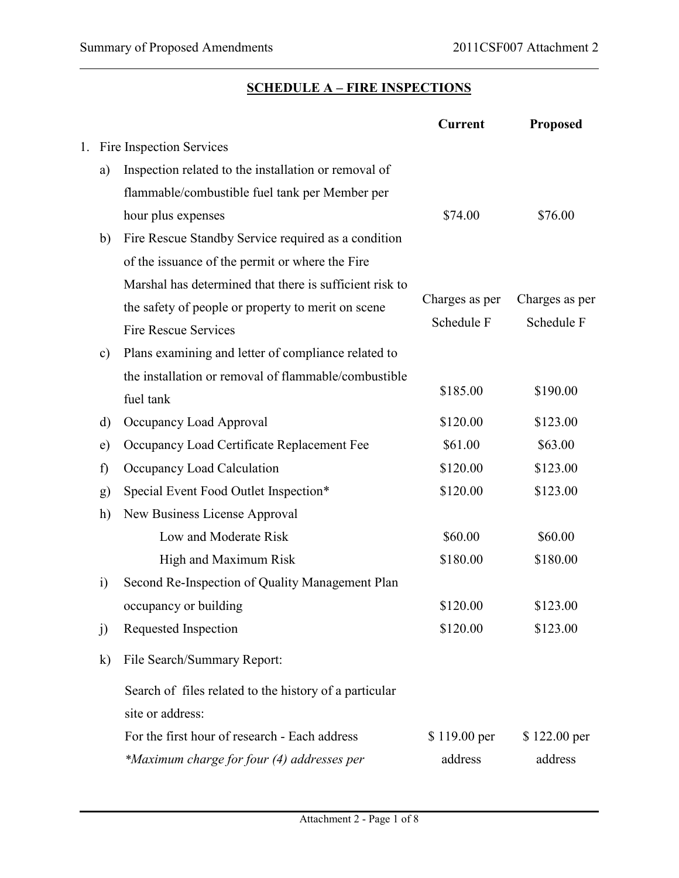### **SCHEDULE A – FIRE INSPECTIONS**

|    |               |                                                         | <b>Current</b> | <b>Proposed</b> |  |  |
|----|---------------|---------------------------------------------------------|----------------|-----------------|--|--|
| 1. |               | Fire Inspection Services                                |                |                 |  |  |
|    | a)            | Inspection related to the installation or removal of    |                |                 |  |  |
|    |               | flammable/combustible fuel tank per Member per          |                |                 |  |  |
|    |               | hour plus expenses                                      | \$74.00        | \$76.00         |  |  |
|    | b)            | Fire Rescue Standby Service required as a condition     |                |                 |  |  |
|    |               | of the issuance of the permit or where the Fire         |                |                 |  |  |
|    |               | Marshal has determined that there is sufficient risk to |                |                 |  |  |
|    |               | the safety of people or property to merit on scene      | Charges as per | Charges as per  |  |  |
|    |               | <b>Fire Rescue Services</b>                             | Schedule F     | Schedule F      |  |  |
|    | $\mathbf{c})$ | Plans examining and letter of compliance related to     |                |                 |  |  |
|    |               | the installation or removal of flammable/combustible    |                |                 |  |  |
|    |               | fuel tank                                               | \$185.00       | \$190.00        |  |  |
|    | d)            | Occupancy Load Approval                                 | \$120.00       | \$123.00        |  |  |
|    | e)            | Occupancy Load Certificate Replacement Fee              | \$61.00        | \$63.00         |  |  |
|    | f)            | Occupancy Load Calculation                              | \$120.00       | \$123.00        |  |  |
|    | g)            | Special Event Food Outlet Inspection*                   | \$120.00       | \$123.00        |  |  |
|    | h)            | New Business License Approval                           |                |                 |  |  |
|    |               | Low and Moderate Risk                                   | \$60.00        | \$60.00         |  |  |
|    |               | High and Maximum Risk                                   | \$180.00       | \$180.00        |  |  |
|    | $\ddot{1}$    | Second Re-Inspection of Quality Management Plan         |                |                 |  |  |
|    |               | occupancy or building                                   | \$120.00       | \$123.00        |  |  |
|    | j)            | Requested Inspection                                    | \$120.00       | \$123.00        |  |  |
|    | $\bf k)$      | File Search/Summary Report:                             |                |                 |  |  |
|    |               | Search of files related to the history of a particular  |                |                 |  |  |
|    |               | site or address:                                        |                |                 |  |  |
|    |               | For the first hour of research - Each address           | \$119.00 per   | \$122.00 per    |  |  |
|    |               | *Maximum charge for four (4) addresses per              | address        | address         |  |  |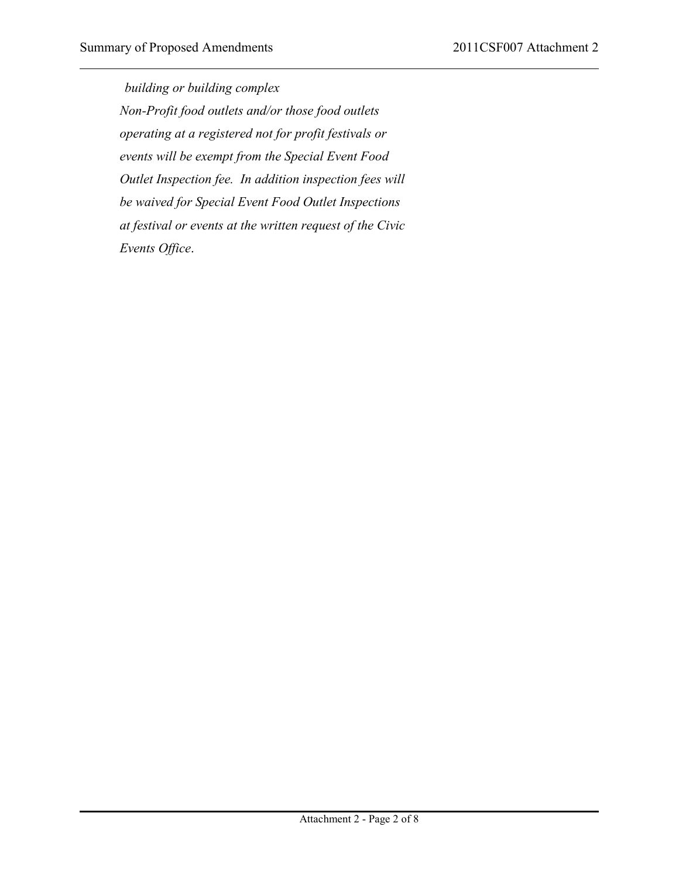*building or building complex Non-Profit food outlets and/or those food outlets operating at a registered not for profit festivals or events will be exempt from the Special Event Food Outlet Inspection fee. In addition inspection fees will be waived for Special Event Food Outlet Inspections at festival or events at the written request of the Civic Events Office*.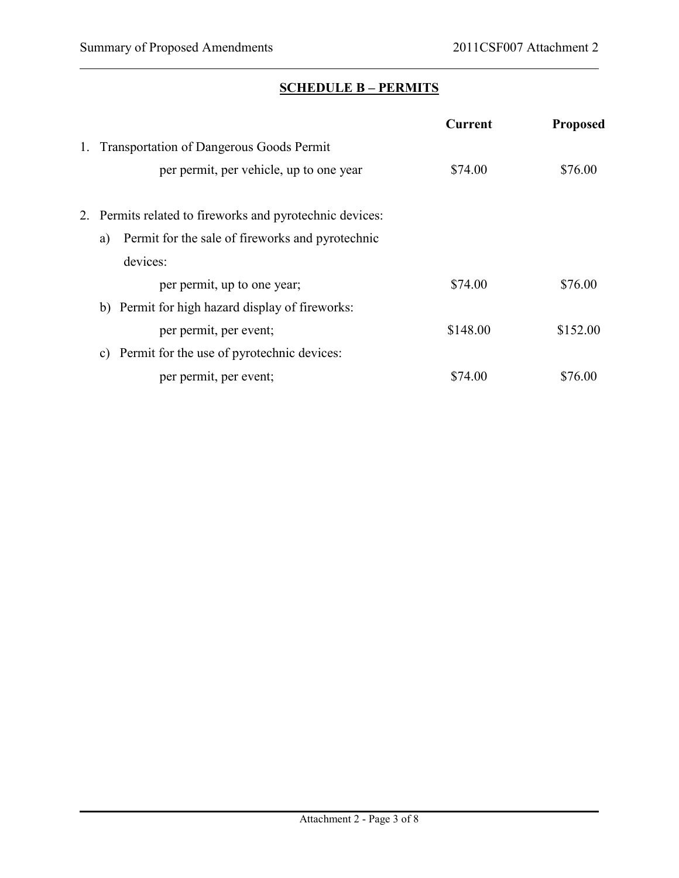# **SCHEDULE B – PERMITS**

|    |                                                          | <b>Current</b> | <b>Proposed</b> |
|----|----------------------------------------------------------|----------------|-----------------|
| 1. | <b>Transportation of Dangerous Goods Permit</b>          |                |                 |
|    | per permit, per vehicle, up to one year                  | \$74.00        | \$76.00         |
|    | 2. Permits related to fireworks and pyrotechnic devices: |                |                 |
|    | Permit for the sale of fireworks and pyrotechnic<br>a)   |                |                 |
|    | devices:                                                 |                |                 |
|    | per permit, up to one year;                              | \$74.00        | \$76.00         |
|    | b) Permit for high hazard display of fireworks:          |                |                 |
|    | per permit, per event;                                   | \$148.00       | \$152.00        |
|    | Permit for the use of pyrotechnic devices:<br>C)         |                |                 |
|    | per permit, per event;                                   | \$74.00        | \$76.00         |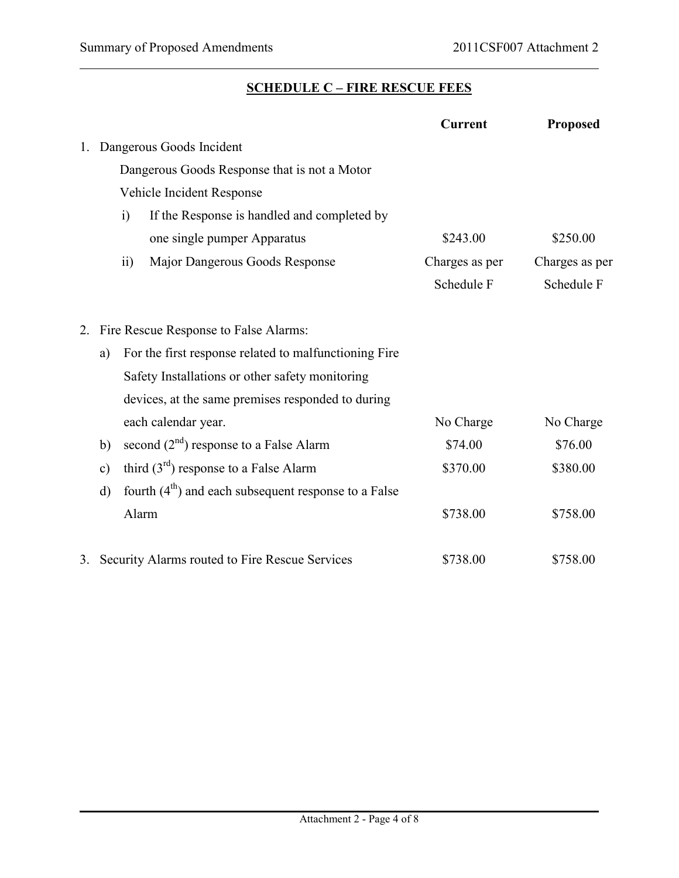### **SCHEDULE C – FIRE RESCUE FEES**

|    |                 |                                                        | <b>Current</b> | <b>Proposed</b> |
|----|-----------------|--------------------------------------------------------|----------------|-----------------|
| 1. |                 | Dangerous Goods Incident                               |                |                 |
|    |                 | Dangerous Goods Response that is not a Motor           |                |                 |
|    |                 | Vehicle Incident Response                              |                |                 |
|    | $\ddot{1}$      | If the Response is handled and completed by            |                |                 |
|    |                 | one single pumper Apparatus                            | \$243.00       | \$250.00        |
|    | $\overline{11}$ | Major Dangerous Goods Response                         | Charges as per | Charges as per  |
|    |                 |                                                        | Schedule F     | Schedule F      |
| 2. |                 | Fire Rescue Response to False Alarms:                  |                |                 |
|    | a)              | For the first response related to malfunctioning Fire  |                |                 |
|    |                 | Safety Installations or other safety monitoring        |                |                 |
|    |                 | devices, at the same premises responded to during      |                |                 |
|    |                 | each calendar year.                                    | No Charge      | No Charge       |
|    | b)              | second $(2nd)$ response to a False Alarm               | \$74.00        | \$76.00         |
|    | $\mathbf{c})$   | third $(3rd)$ response to a False Alarm                | \$370.00       | \$380.00        |
|    | $\mathbf{d}$    | fourth $(4th)$ and each subsequent response to a False |                |                 |
|    |                 | Alarm                                                  | \$738.00       | \$758.00        |
| 3. |                 | Security Alarms routed to Fire Rescue Services         | \$738.00       | \$758.00        |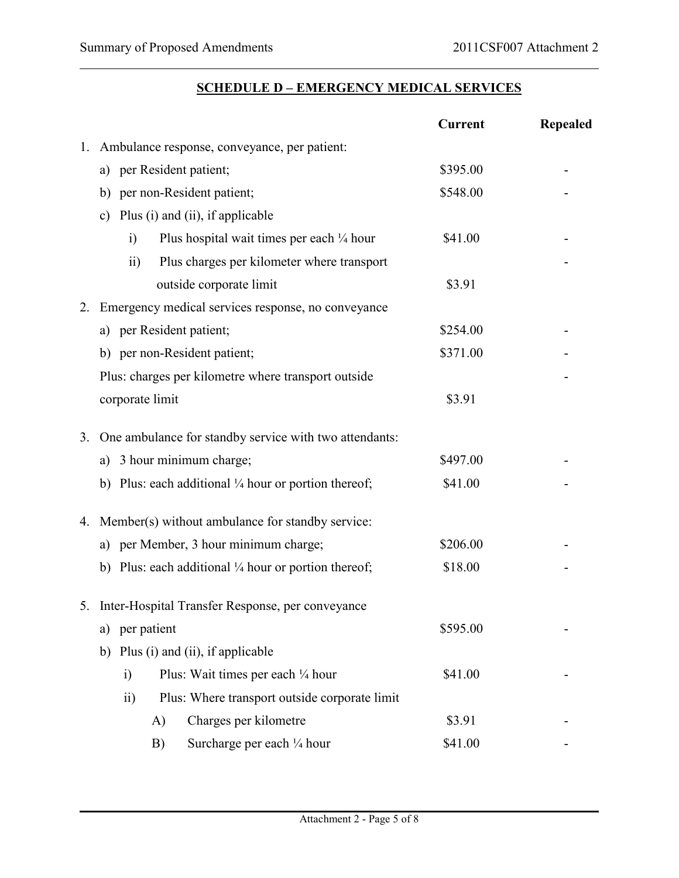### **SCHEDULE D – EMERGENCY MEDICAL SERVICES**

|    |                                                                    | <b>Current</b> | <b>Repealed</b> |  |  |  |  |
|----|--------------------------------------------------------------------|----------------|-----------------|--|--|--|--|
| 1. | Ambulance response, conveyance, per patient:                       |                |                 |  |  |  |  |
|    | a) per Resident patient;                                           | \$395.00       |                 |  |  |  |  |
|    | b) per non-Resident patient;                                       | \$548.00       |                 |  |  |  |  |
|    | Plus (i) and (ii), if applicable<br>$\mathbf{c})$                  |                |                 |  |  |  |  |
|    | Plus hospital wait times per each $\frac{1}{4}$ hour<br>$\ddot{1}$ | \$41.00        |                 |  |  |  |  |
|    | Plus charges per kilometer where transport<br>$\overline{11}$      |                |                 |  |  |  |  |
|    | outside corporate limit                                            | \$3.91         |                 |  |  |  |  |
| 2. | Emergency medical services response, no conveyance                 |                |                 |  |  |  |  |
|    | a) per Resident patient;                                           | \$254.00       |                 |  |  |  |  |
|    | b) per non-Resident patient;                                       | \$371.00       |                 |  |  |  |  |
|    | Plus: charges per kilometre where transport outside                |                |                 |  |  |  |  |
|    | corporate limit                                                    | \$3.91         |                 |  |  |  |  |
| 3. | One ambulance for standby service with two attendants:             |                |                 |  |  |  |  |
|    | 3 hour minimum charge;<br>a)                                       | \$497.00       |                 |  |  |  |  |
|    | b) Plus: each additional $\frac{1}{4}$ hour or portion thereof;    | \$41.00        |                 |  |  |  |  |
|    | 4. Member(s) without ambulance for standby service:                |                |                 |  |  |  |  |
|    | a) per Member, 3 hour minimum charge;                              | \$206.00       |                 |  |  |  |  |
|    | b) Plus: each additional $\frac{1}{4}$ hour or portion thereof;    | \$18.00        |                 |  |  |  |  |
|    | 5. Inter-Hospital Transfer Response, per conveyance                |                |                 |  |  |  |  |
|    | per patient<br>a)                                                  | \$595.00       |                 |  |  |  |  |
|    | Plus (i) and (ii), if applicable<br>b)                             |                |                 |  |  |  |  |
|    | Plus: Wait times per each 1/4 hour<br>$\ddot{1}$                   | \$41.00        |                 |  |  |  |  |
|    | Plus: Where transport outside corporate limit<br>$\overline{ii}$   |                |                 |  |  |  |  |
|    | Charges per kilometre<br>A)                                        | \$3.91         |                 |  |  |  |  |
|    | Surcharge per each 1/4 hour<br>B)                                  | \$41.00        |                 |  |  |  |  |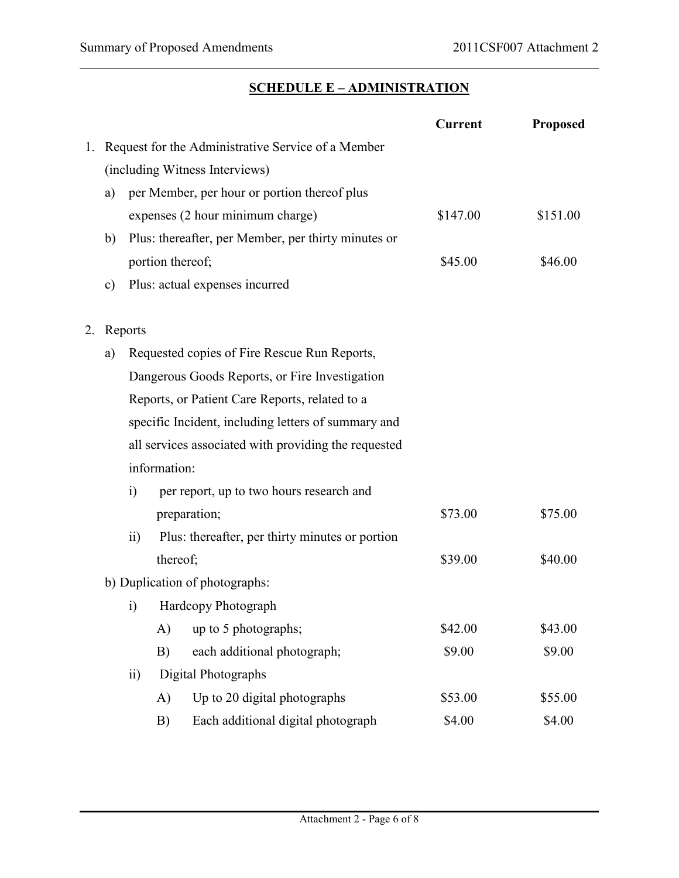# **SCHEDULE E – ADMINISTRATION**

|    |                                                     |                                                    |                  |                                                      | <b>Current</b> | <b>Proposed</b> |  |
|----|-----------------------------------------------------|----------------------------------------------------|------------------|------------------------------------------------------|----------------|-----------------|--|
| 1. |                                                     | Request for the Administrative Service of a Member |                  |                                                      |                |                 |  |
|    |                                                     |                                                    |                  | (including Witness Interviews)                       |                |                 |  |
|    | a)                                                  |                                                    |                  | per Member, per hour or portion thereof plus         |                |                 |  |
|    |                                                     |                                                    |                  | expenses (2 hour minimum charge)                     | \$147.00       | \$151.00        |  |
|    | b)                                                  |                                                    |                  | Plus: thereafter, per Member, per thirty minutes or  |                |                 |  |
|    |                                                     |                                                    | portion thereof; |                                                      | \$45.00        | \$46.00         |  |
|    | $\mathbf{c})$                                       | Plus: actual expenses incurred                     |                  |                                                      |                |                 |  |
| 2. | Reports                                             |                                                    |                  |                                                      |                |                 |  |
|    | a)                                                  |                                                    |                  | Requested copies of Fire Rescue Run Reports,         |                |                 |  |
|    | Dangerous Goods Reports, or Fire Investigation      |                                                    |                  |                                                      |                |                 |  |
|    |                                                     |                                                    |                  | Reports, or Patient Care Reports, related to a       |                |                 |  |
|    | specific Incident, including letters of summary and |                                                    |                  |                                                      |                |                 |  |
|    |                                                     |                                                    |                  | all services associated with providing the requested |                |                 |  |
|    |                                                     |                                                    | information:     |                                                      |                |                 |  |
|    |                                                     | i)                                                 |                  | per report, up to two hours research and             |                |                 |  |
|    |                                                     | preparation;                                       |                  | \$73.00                                              | \$75.00        |                 |  |
|    |                                                     | $\overline{11}$                                    |                  | Plus: thereafter, per thirty minutes or portion      |                |                 |  |
|    | thereof;                                            |                                                    |                  |                                                      | \$39.00        | \$40.00         |  |
|    | b) Duplication of photographs:                      |                                                    |                  |                                                      |                |                 |  |
|    |                                                     | Hardcopy Photograph<br>$\ddot{1}$                  |                  |                                                      |                |                 |  |
|    |                                                     |                                                    | A)               | up to 5 photographs;                                 | \$42.00        | \$43.00         |  |
|    |                                                     |                                                    | B)               | each additional photograph;                          | \$9.00         | \$9.00          |  |
|    |                                                     | $\overline{ii}$                                    |                  | Digital Photographs                                  |                |                 |  |
|    |                                                     |                                                    | A)               | Up to 20 digital photographs                         | \$53.00        | \$55.00         |  |
|    |                                                     |                                                    | B)               | Each additional digital photograph                   | \$4.00         | \$4.00          |  |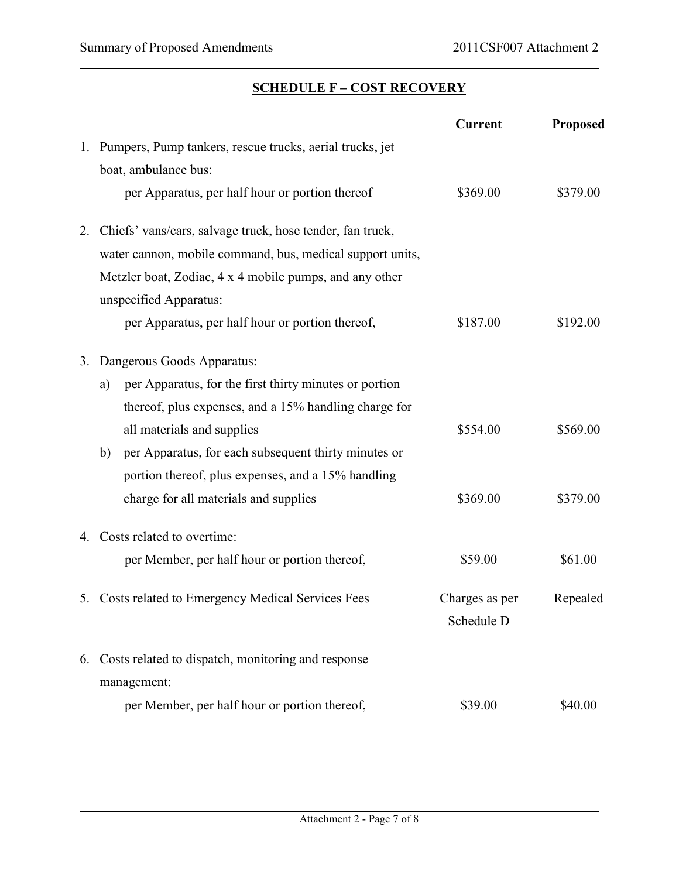#### **SCHEDULE F – COST RECOVERY**

|    |                                                              | <b>Current</b> | <b>Proposed</b> |
|----|--------------------------------------------------------------|----------------|-----------------|
| 1. | Pumpers, Pump tankers, rescue trucks, aerial trucks, jet     |                |                 |
|    | boat, ambulance bus:                                         |                |                 |
|    | per Apparatus, per half hour or portion thereof              | \$369.00       | \$379.00        |
| 2. | Chiefs' vans/cars, salvage truck, hose tender, fan truck,    |                |                 |
|    | water cannon, mobile command, bus, medical support units,    |                |                 |
|    | Metzler boat, Zodiac, 4 x 4 mobile pumps, and any other      |                |                 |
|    | unspecified Apparatus:                                       |                |                 |
|    | per Apparatus, per half hour or portion thereof,             | \$187.00       | \$192.00        |
| 3. | Dangerous Goods Apparatus:                                   |                |                 |
|    | per Apparatus, for the first thirty minutes or portion<br>a) |                |                 |
|    | thereof, plus expenses, and a 15% handling charge for        |                |                 |
|    | all materials and supplies                                   | \$554.00       | \$569.00        |
|    | per Apparatus, for each subsequent thirty minutes or<br>b)   |                |                 |
|    | portion thereof, plus expenses, and a 15% handling           |                |                 |
|    | charge for all materials and supplies                        | \$369.00       | \$379.00        |
| 4. | Costs related to overtime:                                   |                |                 |
|    | per Member, per half hour or portion thereof,                | \$59.00        | \$61.00         |
|    | 5. Costs related to Emergency Medical Services Fees          | Charges as per | Repealed        |
|    |                                                              | Schedule D     |                 |
| 6. | Costs related to dispatch, monitoring and response           |                |                 |
|    | management:                                                  |                |                 |
|    | per Member, per half hour or portion thereof,                | \$39.00        | \$40.00         |